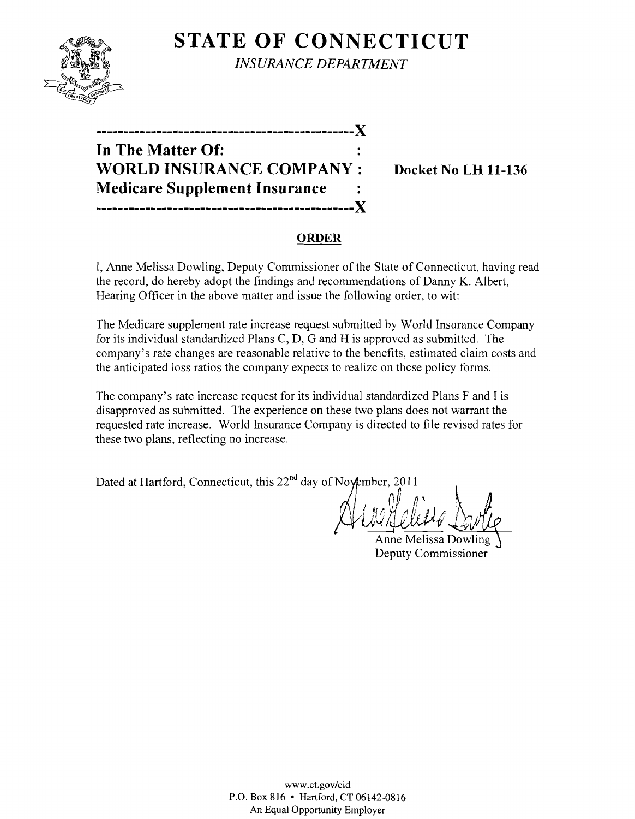

**STATE OF CONNECTICUT** *INSURANCE DEPARTMENT* 

| In The Matter Of:                    |  |
|--------------------------------------|--|
| <b>WORLD INSURANCE COMPANY:</b>      |  |
| <b>Medicare Supplement Insurance</b> |  |
| ---------------------------X         |  |

**Docket No LH 11-136** 

#### **ORDER**

I, Anne Melissa Dowling, Deputy Commissioner of the State of Connecticut, having read the record, do hereby adopt the findings and recommendations of Danny K. Albert, Hearing Officer in the above matter and issue the following order, to wit:

The Medicare supplement rate increase request submitted by World Insurance Company for its individual standardized Plans C, D, G and H is approved as submitted. The company's rate changes are reasonable relative to the benefits, estimated claim costs and the anticipated loss ratios the company expects to realize on these policy forms.

The company's rate increase request for its individual standardized Plans F and I is disapproved as submitted. The experience on these two plans does not warrant the requested rate increase. World Insurance Company is directed to file revised rates for these two plans, reflecting no increase.

Dated at Hartford, Connecticut, this 22<sup>nd</sup> day of November, 2011

<u> Ville Helletto Burtle</u>

Anne Melissa Dowling Deputy Commissioner

www.ct.gov/cid P.O. Box 816 • Hartford, CT 06142-0816 An Equal Opportunity Employer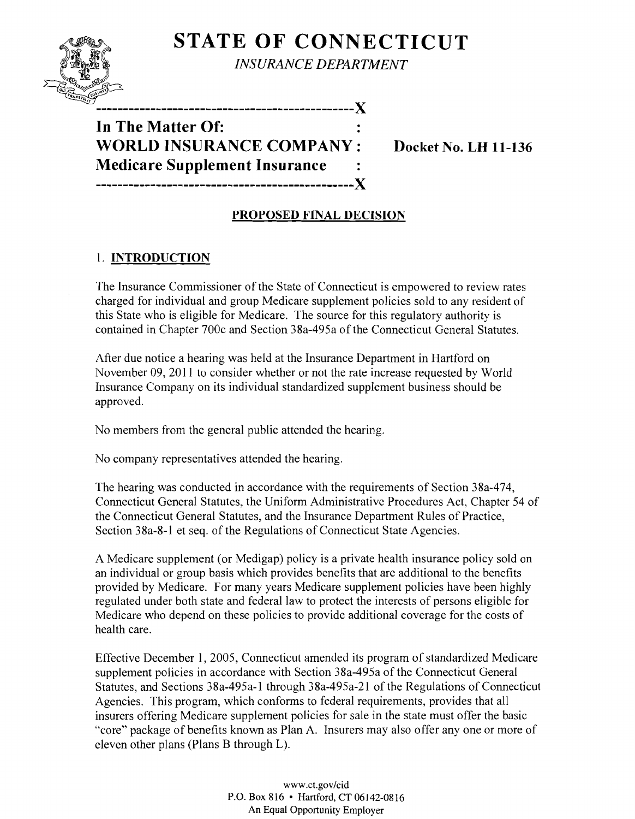# **STATE OF CONNECTICUT**



*INSURANCE DEPARTMENT* 

## **In The Matter Of: WORLD INSURANCE COMPANY: Docket No. LH 11-136 Medicare Supplement Insurance -----------------------------------------------X**

### **PROPOSED FINAL DECISION**

### 1. **INTRODUCTION**

The Insurance Commissioner of the State of Connecticut is empowered to review rates charged for individual and group Medicare supplement policies sold to any resident of this State who is eligible for Medicare. The source for this regulatory authority is contained in Chapter 700c and Section 38a-495a of the Connecticut General Statutes.

After due notice a hearing was held at the Insurance Department in Hartford on November 09, 2011 to consider whether or not the rate increase requested by WorId Insurance Company on its individual standardized supplement business should be approved.

No members from the general public attended the hearing.

No company representatives attended the hearing.

The hearing was conducted in accordance with the requirements of Section 38a-474, Connecticut General Statutes, the Uniform Administrative Procedures Act, Chapter 54 of the Connecticut General Statutes, and the Insurance Department Rules of Practice, Section 38a-8-1 et seq. of the Regulations of Connecticut State Agencies.

A Medicare supplement (or Medigap) policy is a private health insurance policy sold on an individual or group basis which provides benefits that are additional to the benefits provided by Medicare. For many years Medicare supplement policies have been highly regulated under both state and federal law to protect the interests of persons eligible for Medicare who depend on these policies to provide additional coverage for the costs of health care.

Effective December 1,2005, Connecticut amended its program of standardized Medicare supplement policies in accordance with Section 38a-495a of the Connecticut General Statutes, and Sections 38a-495a-1 through 38a-495a-21 of the Regulations of Connecticut Agencies. This program, which conforms to federal requirements, provides that all insurers offering Medicare supplement policies for sale in the state must offer the basic "core" package of benefits known as Plan A. Insurers may also offer anyone or more of eleven other plans (Plans B through L).

> www.ct.gov/cid P.O. Box 816 • Hartford, CT 06142-0816 An Equal Opportunity Employer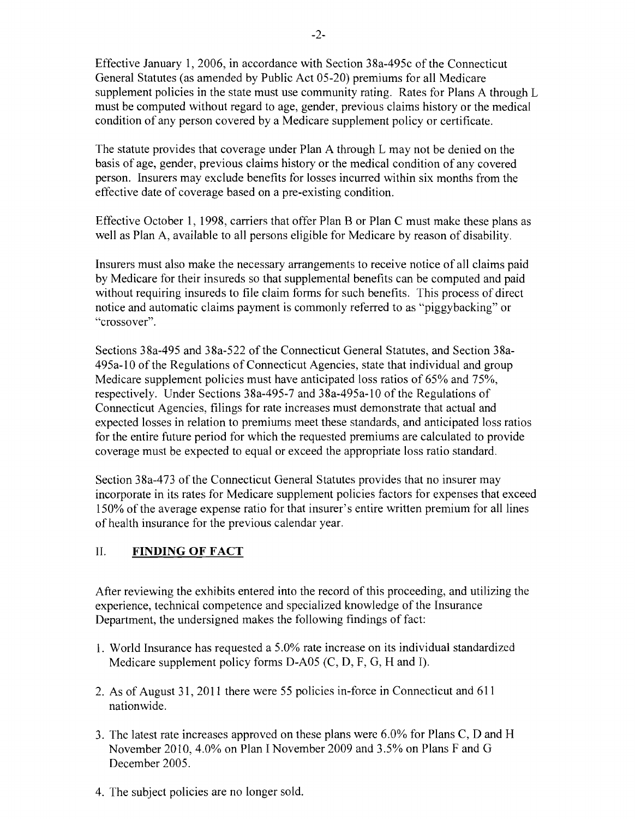Effective January 1,2006, in accordance with Section 38a-495c of the Connecticut General Statutes (as amended by Public Act 05-20) premiums for all Medicare supplement policies in the state must use community rating. Rates for Plans A through L must be computed without regard to age, gender, previous claims history or the medical condition of any person covered by a Medicare supplement policy or certificate.

The statute provides that coverage under Plan A through L may not be denied on the basis of age, gender, previous claims history or the medical condition of any covered person. Insurers may exclude benefits for losses incurred within six months from the effective date of coverage based on a pre-existing condition.

Effective October 1, 1998, carriers that offer Plan B or Plan C must make these plans as well as Plan A, available to all persons eligible for Medicare by reason of disability.

Insurers must also make the necessary arrangements to receive notice of all claims paid by Medicare for their insureds so that supplemental benefits can be computed and paid without requiring insureds to file claim forms for such benefits. This process of direct notice and automatic claims payment is commonly referred to as "piggybacking" or "crossover".

Sections 38a-495 and 38a-522 of the Connecticut General Statutes, and Section 38a-495a-l0 of the Regulations of Connecticut Agencies, state that individual and group Medicare supplement policies must have anticipated loss ratios of 65% and 75%, respectively. Under Sections 38a-495-7 and 38a-495a-l 0 of the Regulations of Connecticut Agencies, filings for rate increases must demonstrate that actual and expected losses in relation to premiums meet these standards, and anticipated loss ratios for the entire future period for which the requested premiums are calculated to provide coverage must be expected to equal or exceed the appropriate loss ratio standard.

Section 38a-473 of the Connecticut General Statutes provides that no insurer may incorporate in its rates for Medicare supplement policies factors for expenses that exceed 150% of the average expense ratio for that insurer's entire written premium for all lines of health insurance for the previous calendar year.

#### II. **FINDING OF FACT**

After reviewing the exhibits entered into the record of this proceeding, and utilizing the experience, technical competence and specialized knowledge of the Insurance Department, the undersigned makes the following findings of fact:

- 1. World Insurance has requested a 5.0% rate increase on its individual standardized Medicare supplement policy forms D-A05 (C, D, F, G, H and I).
- 2. As of August 31, 2011 there were 55 policies in-force in Connecticut and 611 nationwide.
- 3. The latest rate increases approved on these plans were  $6.0\%$  for Plans C, D and H November 2010,4.0% on Plan I November 2009 and 3.5% on Plans F and G December 2005.
- 4. The subject policies are no longer sold.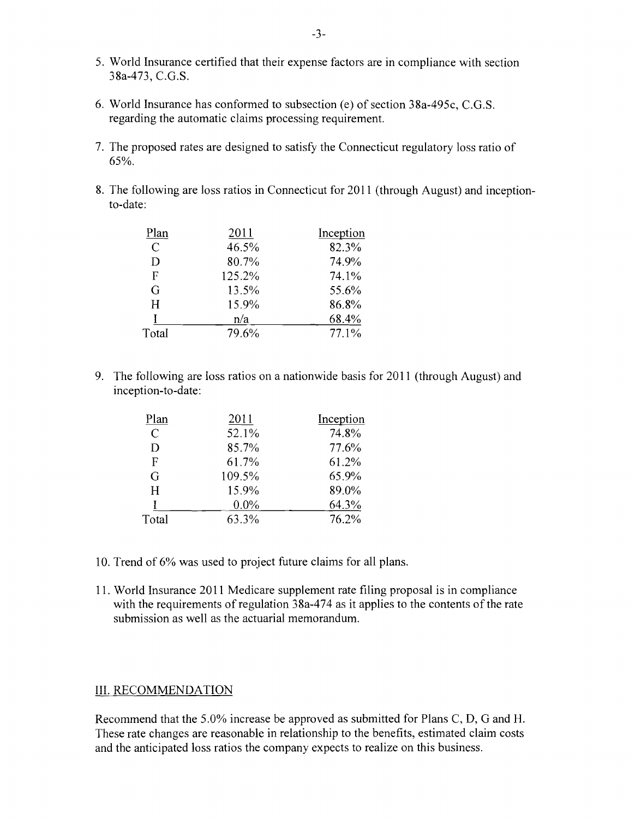- 5. World Insurance certified that their expense factors are in compliance with section 38a-473, C.G.S.
- 6. World Insurance has conformed to subsection (e) of section 38a-495c, C.G.S. regarding the automatic claims processing requirement.
- 7. The proposed rates are designed to satisfy the Connecticut regulatory loss ratio of 65%.
- 8. The following are loss ratios in Connecticut for 2011 (through August) and inceptionto-date:

| Plan          | 2011   | Inception |
|---------------|--------|-----------|
| $\mathcal{C}$ | 46.5%  | 82.3%     |
| D             | 80.7%  | 74.9%     |
| F             | 125.2% | 74.1%     |
| G             | 13.5%  | 55.6%     |
| H             | 15.9%  | 86.8%     |
|               | n/a    | 68.4%     |
| Total         | 79.6%  | 77.1%     |

9. The following are loss ratios on a nationwide basis for 2011 (through August) and inception-to-date:

| Plan  | 2011    | Inception |
|-------|---------|-----------|
| C     | 52.1%   | 74.8%     |
| D     | 85.7%   | 77.6%     |
| F     | 61.7%   | 61.2%     |
| G     | 109.5%  | 65.9%     |
| H     | 15.9%   | 89.0%     |
|       | $0.0\%$ | 64.3%     |
| Total | 63.3%   | 76.2%     |

- 10. Trend of 6% was used to project future claims for all plans.
- 11. World Insurance 2011 Medicare supplement rate filing proposal is in compliance with the requirements of regulation  $38a-474$  as it applies to the contents of the rate submission as well as the actuarial memorandum.

#### III. RECOMMENDATION

Recommend that the 5.0% increase be approved as submitted for Plans C, D, G and H. These rate changes are reasonable in relationship to the benefits, estimated claim costs and the anticipated loss ratios the company expects to realize on this business.